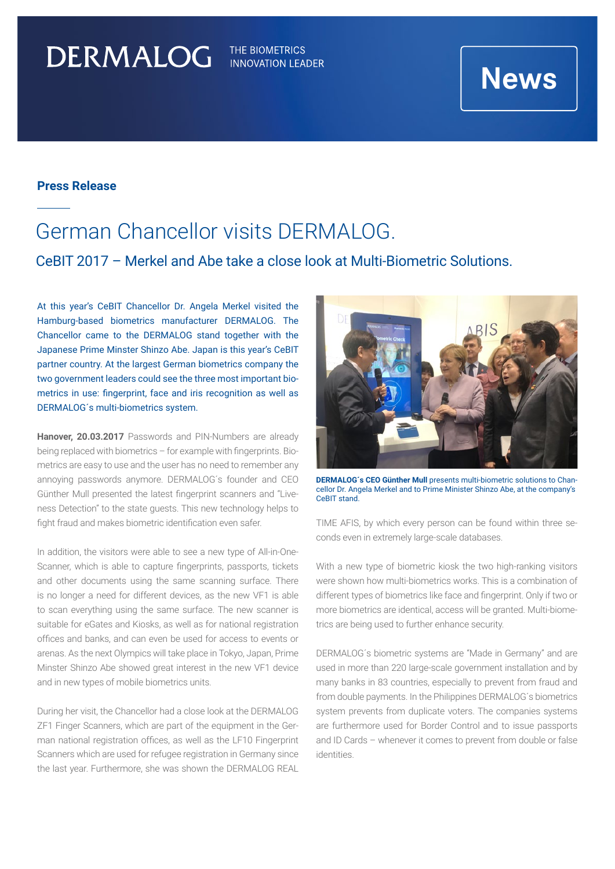# DERMALOG

THE BIOMETRICS **INNOVATION LEADER** 

# **News**

### **Press Release**

### German Chancellor visits DERMALOG.

### CeBIT 2017 – Merkel and Abe take a close look at Multi-Biometric Solutions.

At this year's CeBIT Chancellor Dr. Angela Merkel visited the Hamburg-based biometrics manufacturer DERMALOG. The Chancellor came to the DERMALOG stand together with the Japanese Prime Minster Shinzo Abe. Japan is this year's CeBIT partner country. At the largest German biometrics company the two government leaders could see the three most important biometrics in use: fingerprint, face and iris recognition as well as DERMALOG´s multi-biometrics system.

**Hanover, 20.03.2017** Passwords and PIN-Numbers are already being replaced with biometrics – for example with fingerprints. Biometrics are easy to use and the user has no need to remember any annoying passwords anymore. DERMALOG´s founder and CEO Günther Mull presented the latest fingerprint scanners and "Liveness Detection" to the state guests. This new technology helps to fight fraud and makes biometric identification even safer.

In addition, the visitors were able to see a new type of All-in-One-Scanner, which is able to capture fingerprints, passports, tickets and other documents using the same scanning surface. There is no longer a need for different devices, as the new VF1 is able to scan everything using the same surface. The new scanner is suitable for eGates and Kiosks, as well as for national registration offices and banks, and can even be used for access to events or arenas. As the next Olympics will take place in Tokyo, Japan, Prime Minster Shinzo Abe showed great interest in the new VF1 device and in new types of mobile biometrics units.

During her visit, the Chancellor had a close look at the DERMALOG ZF1 Finger Scanners, which are part of the equipment in the German national registration offices, as well as the LF10 Fingerprint Scanners which are used for refugee registration in Germany since the last year. Furthermore, she was shown the DERMALOG REAL



**DERMALOG´s CEO Günther Mull** presents multi-biometric solutions to Chancellor Dr. Angela Merkel and to Prime Minister Shinzo Abe, at the company's CeBIT stand.

TIME AFIS, by which every person can be found within three seconds even in extremely large-scale databases.

With a new type of biometric kiosk the two high-ranking visitors were shown how multi-biometrics works. This is a combination of different types of biometrics like face and fingerprint. Only if two or more biometrics are identical, access will be granted. Multi-biometrics are being used to further enhance security.

DERMALOG´s biometric systems are "Made in Germany" and are used in more than 220 large-scale government installation and by many banks in 83 countries, especially to prevent from fraud and from double payments. In the Philippines DERMALOG´s biometrics system prevents from duplicate voters. The companies systems are furthermore used for Border Control and to issue passports and ID Cards – whenever it comes to prevent from double or false identities.